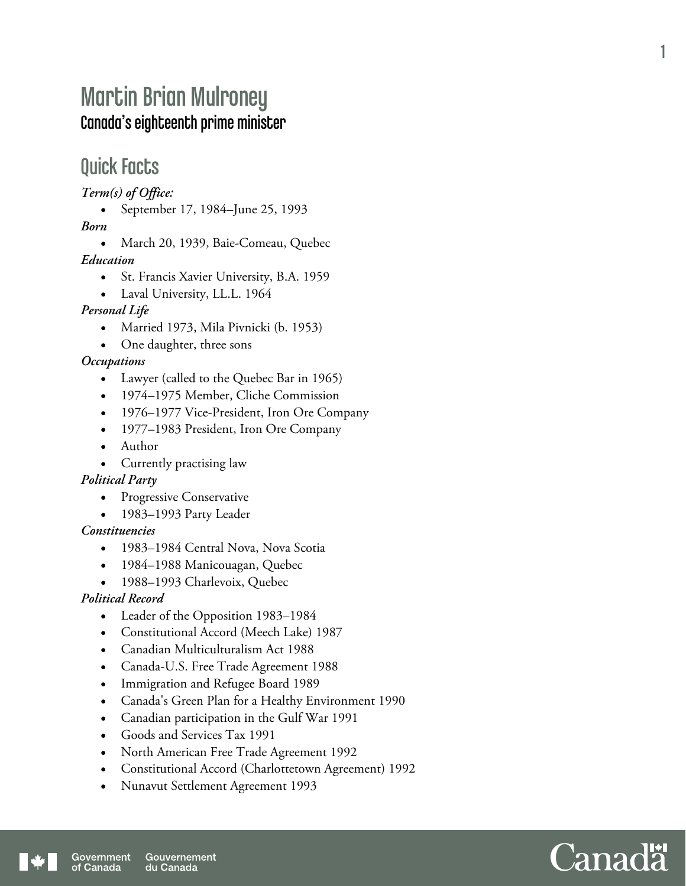# Martin Brian Mulroney Canada's eighteenth prime minister

## Quick Facts

*Term(s) of Office:* 

• September 17, 1984–June 25, 1993

*Born* 

• March 20, 1939, Baie-Comeau, Quebec

*Education* 

- St. Francis Xavier University, B.A. 1959
- Laval University, LL.L. 1964

#### *Personal Life*

- Married 1973, Mila Pivnicki (b. 1953)
- One daughter, three sons

#### *Occupations*

- Lawyer (called to the Quebec Bar in 1965)
- 1974–1975 Member, Cliche Commission
- 1976–1977 Vice-President, Iron Ore Company
- 1977–1983 President, Iron Ore Company
- Author
- Currently practising law

#### *Political Party*

- Progressive Conservative
- 1983–1993 Party Leader

#### *Constituencies*

- 1983–1984 Central Nova, Nova Scotia
- 1984–1988 Manicouagan, Quebec
- 1988-1993 Charlevoix, Quebec

#### *Political Record*

- Leader of the Opposition 1983–1984
- Constitutional Accord (Meech Lake) 1987
- Canadian Multiculturalism Act 1988
- Canada-U.S. Free Trade Agreement 1988
- Immigration and Refugee Board 1989
- Canada's Green Plan for a Healthy Environment 1990
- Canadian participation in the Gulf War 1991
- Goods and Services Tax 1991
- North American Free Trade Agreement 1992
- Constitutional Accord (Charlottetown Agreement) 1992
- Nunavut Settlement Agreement 1993



1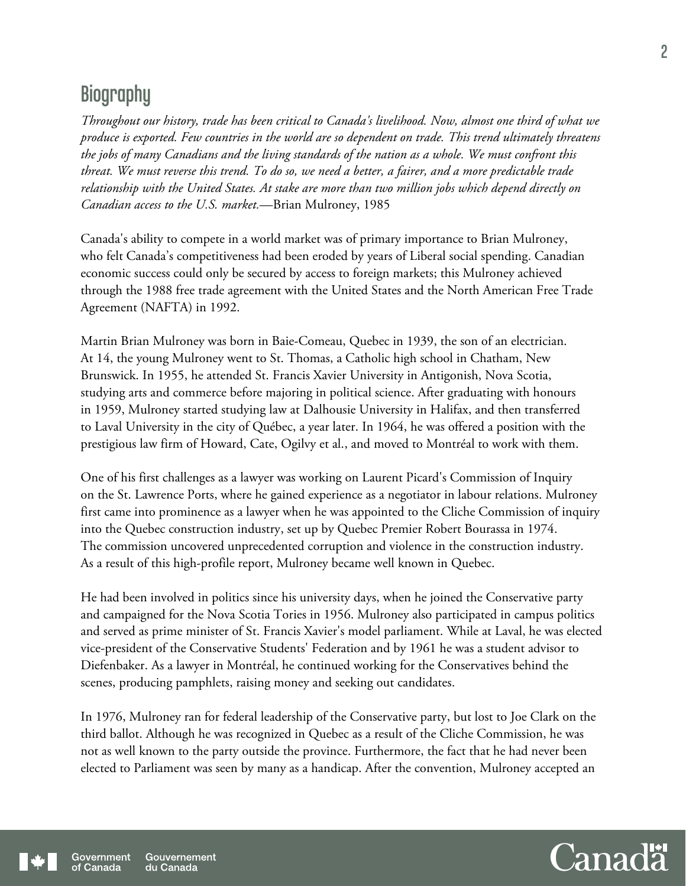# **Biography**

*Throughout our history, trade has been critical to Canada's livelihood. Now, almost one third of what we produce is exported. Few countries in the world are so dependent on trade. This trend ultimately threatens the jobs of many Canadians and the living standards of the nation as a whole. We must confront this threat. We must reverse this trend. To do so, we need a better, a fairer, and a more predictable trade relationship with the United States. At stake are more than two million jobs which depend directly on Canadian access to the U.S. market.*—Brian Mulroney, 1985

Canada's ability to compete in a world market was of primary importance to Brian Mulroney, who felt Canada's competitiveness had been eroded by years of Liberal social spending. Canadian economic success could only be secured by access to foreign markets; this Mulroney achieved through the 1988 free trade agreement with the United States and the North American Free Trade Agreement (NAFTA) in 1992.

Martin Brian Mulroney was born in Baie-Comeau, Quebec in 1939, the son of an electrician. At 14, the young Mulroney went to St. Thomas, a Catholic high school in Chatham, New Brunswick. In 1955, he attended St. Francis Xavier University in Antigonish, Nova Scotia, studying arts and commerce before majoring in political science. After graduating with honours in 1959, Mulroney started studying law at Dalhousie University in Halifax, and then transferred to Laval University in the city of Québec, a year later. In 1964, he was offered a position with the prestigious law firm of Howard, Cate, Ogilvy et al., and moved to Montréal to work with them.

One of his first challenges as a lawyer was working on Laurent Picard's Commission of Inquiry on the St. Lawrence Ports, where he gained experience as a negotiator in labour relations. Mulroney first came into prominence as a lawyer when he was appointed to the Cliche Commission of inquiry into the Quebec construction industry, set up by Quebec Premier Robert Bourassa in 1974. The commission uncovered unprecedented corruption and violence in the construction industry. As a result of this high-profile report, Mulroney became well known in Quebec.

He had been involved in politics since his university days, when he joined the Conservative party and campaigned for the Nova Scotia Tories in 1956. Mulroney also participated in campus politics and served as prime minister of St. Francis Xavier's model parliament. While at Laval, he was elected vice-president of the Conservative Students' Federation and by 1961 he was a student advisor to Diefenbaker. As a lawyer in Montréal, he continued working for the Conservatives behind the scenes, producing pamphlets, raising money and seeking out candidates.

In 1976, Mulroney ran for federal leadership of the Conservative party, but lost to Joe Clark on the third ballot. Although he was recognized in Quebec as a result of the Cliche Commission, he was not as well known to the party outside the province. Furthermore, the fact that he had never been elected to Parliament was seen by many as a handicap. After the convention, Mulroney accepted an

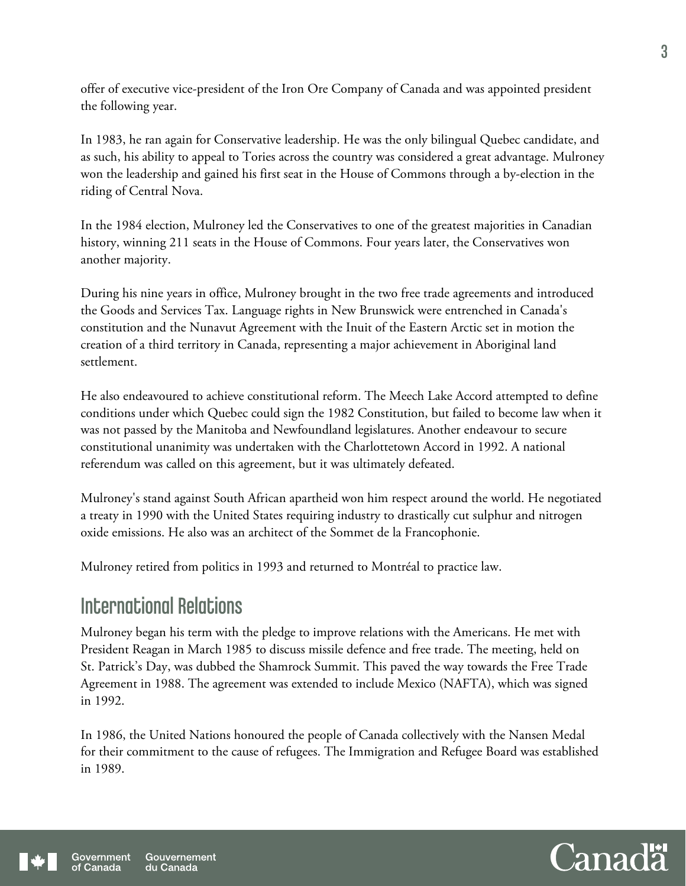offer of executive vice-president of the Iron Ore Company of Canada and was appointed president the following year.

In 1983, he ran again for Conservative leadership. He was the only bilingual Quebec candidate, and as such, his ability to appeal to Tories across the country was considered a great advantage. Mulroney won the leadership and gained his first seat in the House of Commons through a by-election in the riding of Central Nova.

In the 1984 election, Mulroney led the Conservatives to one of the greatest majorities in Canadian history, winning 211 seats in the House of Commons. Four years later, the Conservatives won another majority.

During his nine years in office, Mulroney brought in the two free trade agreements and introduced the Goods and Services Tax. Language rights in New Brunswick were entrenched in Canada's constitution and the Nunavut Agreement with the Inuit of the Eastern Arctic set in motion the creation of a third territory in Canada, representing a major achievement in Aboriginal land settlement.

He also endeavoured to achieve constitutional reform. The Meech Lake Accord attempted to define conditions under which Quebec could sign the 1982 Constitution, but failed to become law when it was not passed by the Manitoba and Newfoundland legislatures. Another endeavour to secure constitutional unanimity was undertaken with the Charlottetown Accord in 1992. A national referendum was called on this agreement, but it was ultimately defeated.

Mulroney's stand against South African apartheid won him respect around the world. He negotiated a treaty in 1990 with the United States requiring industry to drastically cut sulphur and nitrogen oxide emissions. He also was an architect of the Sommet de la Francophonie.

Mulroney retired from politics in 1993 and returned to Montréal to practice law.

### International Relations

Mulroney began his term with the pledge to improve relations with the Americans. He met with President Reagan in March 1985 to discuss missile defence and free trade. The meeting, held on St. Patrick's Day, was dubbed the Shamrock Summit. This paved the way towards the Free Trade Agreement in 1988. The agreement was extended to include Mexico (NAFTA), which was signed in 1992.

In 1986, the United Nations honoured the people of Canada collectively with the Nansen Medal for their commitment to the cause of refugees. The Immigration and Refugee Board was established in 1989.

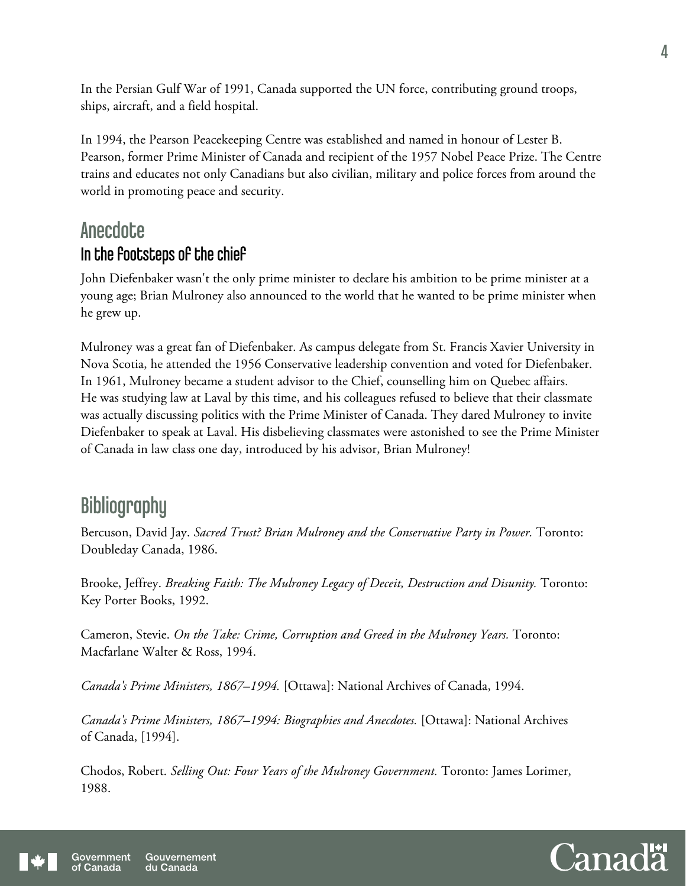In the Persian Gulf War of 1991, Canada supported the UN force, contributing ground troops, ships, aircraft, and a field hospital.

In 1994, the Pearson Peacekeeping Centre was established and named in honour of Lester B. Pearson, former Prime Minister of Canada and recipient of the 1957 Nobel Peace Prize. The Centre trains and educates not only Canadians but also civilian, military and police forces from around the world in promoting peace and security.

## **Anecdote** In the footsteps of the chief

John Diefenbaker wasn't the only prime minister to declare his ambition to be prime minister at a young age; Brian Mulroney also announced to the world that he wanted to be prime minister when he grew up.

Mulroney was a great fan of Diefenbaker. As campus delegate from St. Francis Xavier University in Nova Scotia, he attended the 1956 Conservative leadership convention and voted for Diefenbaker. In 1961, Mulroney became a student advisor to the Chief, counselling him on Quebec affairs. He was studying law at Laval by this time, and his colleagues refused to believe that their classmate was actually discussing politics with the Prime Minister of Canada. They dared Mulroney to invite Diefenbaker to speak at Laval. His disbelieving classmates were astonished to see the Prime Minister of Canada in law class one day, introduced by his advisor, Brian Mulroney!

# **Bibliography**

Bercuson, David Jay. *Sacred Trust? Brian Mulroney and the Conservative Party in Power.* Toronto: Doubleday Canada, 1986.

Brooke, Jeffrey. *Breaking Faith: The Mulroney Legacy of Deceit, Destruction and Disunity.* Toronto: Key Porter Books, 1992.

Cameron, Stevie. *On the Take: Crime, Corruption and Greed in the Mulroney Years.* Toronto: Macfarlane Walter & Ross, 1994.

*Canada's Prime Ministers, 1867–1994.* [Ottawa]: National Archives of Canada, 1994.

*Canada's Prime Ministers, 1867–1994: Biographies and Anecdotes.* [Ottawa]: National Archives of Canada, [1994].

Chodos, Robert. *Selling Out: Four Years of the Mulroney Government.* Toronto: James Lorimer, 1988.